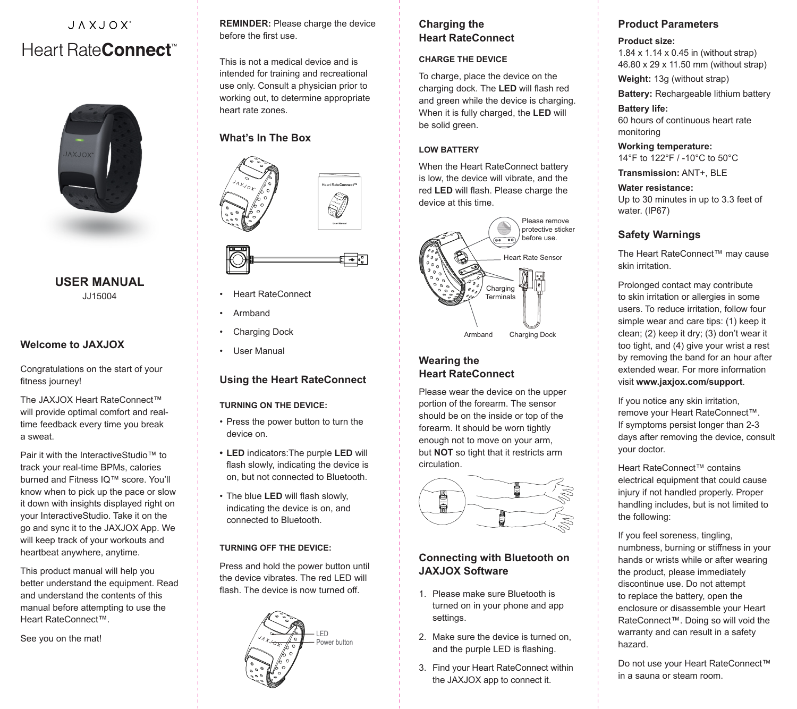# JAXJOX' Heart Rate**Connect**



#### **USER MANUAL** JJ15004

# **Welcome to JAXJOX**

Congratulations on the start of your fitness journey!

The JAXJOX Heart RateConnect™ will provide optimal comfort and realtime feedback every time you break a sweat.

Pair it with the InteractiveStudio™ to track your real-time BPMs, calories burned and Fitness IQ™ score. You'll know when to pick up the pace or slow it down with insights displayed right on your InteractiveStudio. Take it on the go and sync it to the JAXJOX App. We will keep track of your workouts and heartbeat anywhere, anytime.

This product manual will help you better understand the equipment. Read and understand the contents of this manual before attempting to use the Heart RateConnect™.

See you on the mat!

**REMINDER:** Please charge the device before the first use.

This is not a medical device and is intended for training and recreational use only. Consult a physician prior to working out, to determine appropriate heart rate zones.

# **What's In The Box**





**User Manual**

- Heart RateConnect
- Armband
- Charging Dock
- **User Manual**

## **Using the Heart RateConnect**

#### **TURNING ON THE DEVICE:**

- Press the power button to turn the device on.
- **• LED** indicators:The purple **LED** will flash slowly, indicating the device is on, but not connected to Bluetooth.
- The blue **LED** will flash slowly, indicating the device is on, and connected to Bluetooth.

#### **TURNING OFF THE DEVICE:**

Press and hold the power button until the device vibrates. The red LED will flash. The device is now turned off.



# **Charging the Heart RateConnect**

# **CHARGE THE DEVICE**

To charge, place the device on the charging dock. The **LED** will flash red and green while the device is charging. When it is fully charged, the **LED** will be solid green.

#### **LOW BATTERY**

When the Heart RateConnect battery is low, the device will vibrate, and the red **LED** will flash. Please charge the device at this time.



# **Wearing the Heart RateConnect**

Please wear the device on the upper portion of the forearm. The sensor should be on the inside or top of the forearm. It should be worn tightly enough not to move on your arm, but **NOT** so tight that it restricts arm circulation.



# **Connecting with Bluetooth on JAXJOX Software**

- 1. Please make sure Bluetooth is turned on in your phone and app settings.
- 2. Make sure the device is turned on, and the purple LED is flashing.
- 3. Find your Heart RateConnect within the JAXJOX app to connect it.

# **Product Parameters**

#### **Product size:**

1.84 x 1.14 x 0.45 in (without strap) 46.80 x 29 x 11.50 mm (without strap)

**Weight:** 13g (without strap)

**Battery:** Rechargeable lithium battery

#### **Battery life:**

60 hours of continuous heart rate monitoring

**Working temperature:** 14°F to 122°F / -10°C to 50°C

**Transmission:** ANT+, BLE

#### **Water resistance:**

Up to 30 minutes in up to 3.3 feet of water. (IP67)

## **Safety Warnings**

The Heart RateConnect™ may cause skin irritation.

Prolonged contact may contribute to skin irritation or allergies in some users. To reduce irritation, follow four simple wear and care tips: (1) keep it clean; (2) keep it dry; (3) don't wear it too tight, and (4) give your wrist a rest by removing the band for an hour after extended wear. For more information visit **www.jaxjox.com/support**.

If you notice any skin irritation, remove your Heart RateConnect™. If symptoms persist longer than 2-3 days after removing the device, consult your doctor.

Heart RateConnect™ contains electrical equipment that could cause injury if not handled properly. Proper handling includes, but is not limited to the following:

If you feel soreness, tingling, numbness, burning or stiffness in your hands or wrists while or after wearing the product, please immediately discontinue use. Do not attempt to replace the battery, open the enclosure or disassemble your Heart RateConnect™. Doing so will void the warranty and can result in a safety hazard.

Do not use your Heart RateConnect™ in a sauna or steam room.